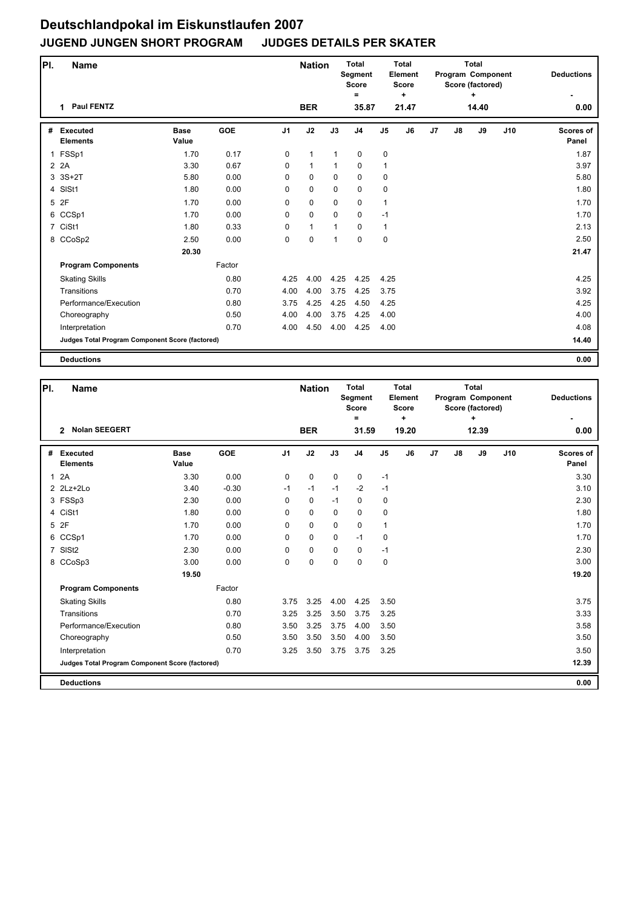## **Deutschlandpokal im Eiskunstlaufen 2007 JUGEND JUNGEN SHORT PROGRAM JUDGES DETAILS PER SKATER**

| PI.         | <b>Name</b>                                     |                      |            |                | <b>Nation</b> |              | <b>Total</b><br><b>Segment</b><br><b>Score</b><br>= |                | <b>Total</b><br>Element<br><b>Score</b><br>٠ |    |    | <b>Total</b><br>Program Component<br>Score (factored) |     | <b>Deductions</b>         |
|-------------|-------------------------------------------------|----------------------|------------|----------------|---------------|--------------|-----------------------------------------------------|----------------|----------------------------------------------|----|----|-------------------------------------------------------|-----|---------------------------|
|             | <b>Paul FENTZ</b><br>1                          |                      |            |                | <b>BER</b>    |              | 35.87                                               |                | 21.47                                        |    |    | 14.40                                                 |     | 0.00                      |
| #           | <b>Executed</b><br><b>Elements</b>              | <b>Base</b><br>Value | <b>GOE</b> | J <sub>1</sub> | J2            | J3           | J <sub>4</sub>                                      | J <sub>5</sub> | J6                                           | J7 | J8 | J9                                                    | J10 | <b>Scores of</b><br>Panel |
| $\mathbf 1$ | FSSp1                                           | 1.70                 | 0.17       | $\mathbf 0$    | $\mathbf{1}$  | $\mathbf{1}$ | $\pmb{0}$                                           | $\pmb{0}$      |                                              |    |    |                                                       |     | 1.87                      |
|             | 2 2 A                                           | 3.30                 | 0.67       | $\Omega$       | $\mathbf{1}$  | $\mathbf{1}$ | $\mathbf 0$                                         | $\mathbf{1}$   |                                              |    |    |                                                       |     | 3.97                      |
|             | 3 3S+2T                                         | 5.80                 | 0.00       | 0              | $\mathbf 0$   | $\mathbf 0$  | 0                                                   | 0              |                                              |    |    |                                                       |     | 5.80                      |
|             | 4 SISt1                                         | 1.80                 | 0.00       | 0              | $\mathbf 0$   | $\mathbf 0$  | $\mathbf 0$                                         | 0              |                                              |    |    |                                                       |     | 1.80                      |
|             | 5 2F                                            | 1.70                 | 0.00       | 0              | 0             | $\mathbf 0$  | $\mathbf 0$                                         | $\mathbf{1}$   |                                              |    |    |                                                       |     | 1.70                      |
|             | 6 CCSp1                                         | 1.70                 | 0.00       | 0              | $\mathbf 0$   | $\mathbf 0$  | $\mathbf 0$                                         | $-1$           |                                              |    |    |                                                       |     | 1.70                      |
|             | 7 CiSt1                                         | 1.80                 | 0.33       | 0              | 1             | $\mathbf 1$  | 0                                                   | 1              |                                              |    |    |                                                       |     | 2.13                      |
|             | 8 CCoSp2                                        | 2.50                 | 0.00       | 0              | $\mathbf 0$   | 1            | $\mathbf 0$                                         | $\mathbf 0$    |                                              |    |    |                                                       |     | 2.50                      |
|             |                                                 | 20.30                |            |                |               |              |                                                     |                |                                              |    |    |                                                       |     | 21.47                     |
|             | <b>Program Components</b>                       |                      | Factor     |                |               |              |                                                     |                |                                              |    |    |                                                       |     |                           |
|             | <b>Skating Skills</b>                           |                      | 0.80       | 4.25           | 4.00          | 4.25         | 4.25                                                | 4.25           |                                              |    |    |                                                       |     | 4.25                      |
|             | Transitions                                     |                      | 0.70       | 4.00           | 4.00          | 3.75         | 4.25                                                | 3.75           |                                              |    |    |                                                       |     | 3.92                      |
|             | Performance/Execution                           |                      | 0.80       | 3.75           | 4.25          | 4.25         | 4.50                                                | 4.25           |                                              |    |    |                                                       |     | 4.25                      |
|             | Choreography                                    |                      | 0.50       | 4.00           | 4.00          | 3.75         | 4.25                                                | 4.00           |                                              |    |    |                                                       |     | 4.00                      |
|             | Interpretation                                  |                      | 0.70       | 4.00           | 4.50          | 4.00         | 4.25                                                | 4.00           |                                              |    |    |                                                       |     | 4.08                      |
|             | Judges Total Program Component Score (factored) |                      |            |                |               |              |                                                     |                |                                              |    |    |                                                       |     | 14.40                     |
|             | <b>Deductions</b>                               |                      |            |                |               |              |                                                     |                |                                              |    |    |                                                       |     | 0.00                      |

| PI.            | <b>Name</b>                                     |                      |            | <b>Nation</b>  |             | <b>Total</b><br><b>Segment</b><br><b>Score</b><br>$=$ |                | <b>Total</b><br>Element<br><b>Score</b><br>÷ |                | <b>Total</b><br>Program Component<br>Score (factored) | <b>Deductions</b> |       |     |                           |
|----------------|-------------------------------------------------|----------------------|------------|----------------|-------------|-------------------------------------------------------|----------------|----------------------------------------------|----------------|-------------------------------------------------------|-------------------|-------|-----|---------------------------|
|                | <b>Nolan SEEGERT</b><br>$\mathbf{2}$            |                      |            |                | <b>BER</b>  |                                                       | 31.59          |                                              | 19.20          |                                                       |                   | 12.39 |     | 0.00                      |
| #              | <b>Executed</b><br><b>Elements</b>              | <b>Base</b><br>Value | <b>GOE</b> | J <sub>1</sub> | J2          | J3                                                    | J <sub>4</sub> | $\mathsf{J}5$                                | J <sub>6</sub> | J <sub>7</sub>                                        | J8                | J9    | J10 | <b>Scores of</b><br>Panel |
| $\mathbf{1}$   | 2A                                              | 3.30                 | 0.00       | 0              | 0           | $\mathbf 0$                                           | 0              | $-1$                                         |                |                                                       |                   |       |     | 3.30                      |
|                | $2$ $2Lz+2Lo$                                   | 3.40                 | $-0.30$    | $-1$           | $-1$        | $-1$                                                  | $-2$           | $-1$                                         |                |                                                       |                   |       |     | 3.10                      |
|                | 3 FSSp3                                         | 2.30                 | 0.00       | 0              | 0           | $-1$                                                  | $\Omega$       | $\mathbf 0$                                  |                |                                                       |                   |       |     | 2.30                      |
|                | 4 CiSt1                                         | 1.80                 | 0.00       | 0              | $\mathbf 0$ | $\mathbf 0$                                           | 0              | $\mathbf 0$                                  |                |                                                       |                   |       |     | 1.80                      |
| 5              | 2F                                              | 1.70                 | 0.00       | 0              | $\mathbf 0$ | $\Omega$                                              | 0              | $\mathbf{1}$                                 |                |                                                       |                   |       |     | 1.70                      |
| 6              | CCSp1                                           | 1.70                 | 0.00       | 0              | $\mathbf 0$ | 0                                                     | $-1$           | $\mathbf 0$                                  |                |                                                       |                   |       |     | 1.70                      |
| $\overline{7}$ | SISt <sub>2</sub>                               | 2.30                 | 0.00       | 0              | $\mathbf 0$ | $\Omega$                                              | $\mathbf 0$    | $-1$                                         |                |                                                       |                   |       |     | 2.30                      |
|                | 8 CCoSp3                                        | 3.00                 | 0.00       | 0              | $\mathbf 0$ | $\mathbf 0$                                           | 0              | $\pmb{0}$                                    |                |                                                       |                   |       |     | 3.00                      |
|                |                                                 | 19.50                |            |                |             |                                                       |                |                                              |                |                                                       |                   |       |     | 19.20                     |
|                | <b>Program Components</b>                       |                      | Factor     |                |             |                                                       |                |                                              |                |                                                       |                   |       |     |                           |
|                | <b>Skating Skills</b>                           |                      | 0.80       | 3.75           | 3.25        | 4.00                                                  | 4.25           | 3.50                                         |                |                                                       |                   |       |     | 3.75                      |
|                | Transitions                                     |                      | 0.70       | 3.25           | 3.25        | 3.50                                                  | 3.75           | 3.25                                         |                |                                                       |                   |       |     | 3.33                      |
|                | Performance/Execution                           |                      | 0.80       | 3.50           | 3.25        | 3.75                                                  | 4.00           | 3.50                                         |                |                                                       |                   |       |     | 3.58                      |
|                | Choreography                                    |                      | 0.50       | 3.50           | 3.50        | 3.50                                                  | 4.00           | 3.50                                         |                |                                                       |                   |       |     | 3.50                      |
|                | Interpretation                                  |                      | 0.70       | 3.25           | 3.50        | 3.75                                                  | 3.75           | 3.25                                         |                |                                                       |                   |       |     | 3.50                      |
|                | Judges Total Program Component Score (factored) |                      |            |                |             |                                                       |                |                                              |                |                                                       |                   |       |     | 12.39                     |
|                | <b>Deductions</b>                               |                      |            |                |             |                                                       |                |                                              |                |                                                       |                   |       |     | 0.00                      |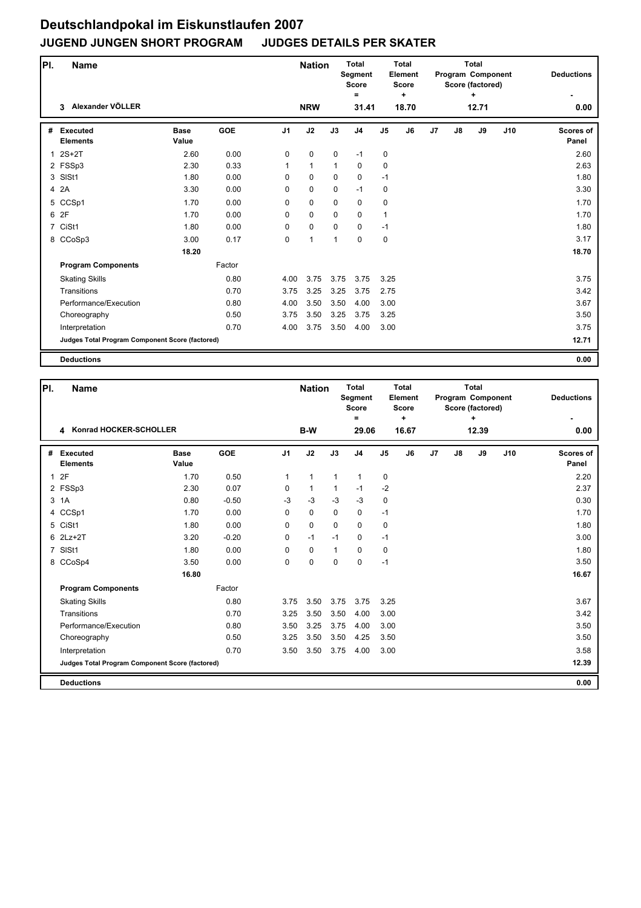## **Deutschlandpokal im Eiskunstlaufen 2007 JUGEND JUNGEN SHORT PROGRAM JUDGES DETAILS PER SKATER**

| PI.            | <b>Name</b>                                     |                      |            |                | <b>Nation</b> |              | <b>Total</b><br>Segment<br><b>Score</b><br>$=$ |                | <b>Total</b><br>Element<br><b>Score</b><br>÷ |    |    | <b>Total</b><br>Program Component<br>Score (factored)<br>÷ |     | <b>Deductions</b>  |
|----------------|-------------------------------------------------|----------------------|------------|----------------|---------------|--------------|------------------------------------------------|----------------|----------------------------------------------|----|----|------------------------------------------------------------|-----|--------------------|
|                | Alexander VÖLLER<br>3                           |                      |            |                | <b>NRW</b>    |              | 31.41                                          |                | 18.70                                        |    |    | 12.71                                                      |     | 0.00               |
| #              | <b>Executed</b><br><b>Elements</b>              | <b>Base</b><br>Value | <b>GOE</b> | J <sub>1</sub> | J2            | J3           | J <sub>4</sub>                                 | J <sub>5</sub> | J6                                           | J7 | J8 | J9                                                         | J10 | Scores of<br>Panel |
| $\mathbf{1}$   | $2S+2T$                                         | 2.60                 | 0.00       | 0              | 0             | $\mathbf 0$  | $-1$                                           | 0              |                                              |    |    |                                                            |     | 2.60               |
|                | 2 FSSp3                                         | 2.30                 | 0.33       | 1              | $\mathbf{1}$  | $\mathbf{1}$ | 0                                              | 0              |                                              |    |    |                                                            |     | 2.63               |
| 3              | SISt1                                           | 1.80                 | 0.00       | 0              | 0             | $\mathbf 0$  | 0                                              | $-1$           |                                              |    |    |                                                            |     | 1.80               |
|                | 4 2A                                            | 3.30                 | 0.00       | 0              | 0             | $\mathbf 0$  | $-1$                                           | 0              |                                              |    |    |                                                            |     | 3.30               |
| 5              | CCSp1                                           | 1.70                 | 0.00       | 0              | 0             | 0            | 0                                              | 0              |                                              |    |    |                                                            |     | 1.70               |
|                | 6 2F                                            | 1.70                 | 0.00       | $\Omega$       | 0             | $\mathbf 0$  | 0                                              | $\mathbf{1}$   |                                              |    |    |                                                            |     | 1.70               |
| $\overline{7}$ | CiSt1                                           | 1.80                 | 0.00       | 0              | 0             | 0            | 0                                              | $-1$           |                                              |    |    |                                                            |     | 1.80               |
|                | 8 CCoSp3                                        | 3.00                 | 0.17       | 0              | $\mathbf{1}$  | 1            | 0                                              | 0              |                                              |    |    |                                                            |     | 3.17               |
|                |                                                 | 18.20                |            |                |               |              |                                                |                |                                              |    |    |                                                            |     | 18.70              |
|                | <b>Program Components</b>                       |                      | Factor     |                |               |              |                                                |                |                                              |    |    |                                                            |     |                    |
|                | <b>Skating Skills</b>                           |                      | 0.80       | 4.00           | 3.75          | 3.75         | 3.75                                           | 3.25           |                                              |    |    |                                                            |     | 3.75               |
|                | Transitions                                     |                      | 0.70       | 3.75           | 3.25          | 3.25         | 3.75                                           | 2.75           |                                              |    |    |                                                            |     | 3.42               |
|                | Performance/Execution                           |                      | 0.80       | 4.00           | 3.50          | 3.50         | 4.00                                           | 3.00           |                                              |    |    |                                                            |     | 3.67               |
|                | Choreography                                    |                      | 0.50       | 3.75           | 3.50          | 3.25         | 3.75                                           | 3.25           |                                              |    |    |                                                            |     | 3.50               |
|                | Interpretation                                  |                      | 0.70       | 4.00           | 3.75          | 3.50         | 4.00                                           | 3.00           |                                              |    |    |                                                            |     | 3.75               |
|                | Judges Total Program Component Score (factored) |                      |            |                |               |              |                                                |                |                                              |    |    |                                                            |     | 12.71              |
|                | <b>Deductions</b>                               |                      |            |                |               |              |                                                |                |                                              |    |    |                                                            |     | 0.00               |

| PI.            | <b>Name</b>                                     |                      | <b>Nation</b> |                |              | <b>Total</b><br>Element<br><b>Score</b><br>٠ |                |             |       | <b>Total</b><br>Program Component<br>Score (factored)<br>÷ | <b>Deductions</b> |       |     |                           |
|----------------|-------------------------------------------------|----------------------|---------------|----------------|--------------|----------------------------------------------|----------------|-------------|-------|------------------------------------------------------------|-------------------|-------|-----|---------------------------|
|                | Konrad HOCKER-SCHOLLER<br>4                     |                      |               |                | B-W          |                                              | 29.06          |             | 16.67 |                                                            |                   | 12.39 |     | 0.00                      |
| #              | <b>Executed</b><br><b>Elements</b>              | <b>Base</b><br>Value | <b>GOE</b>    | J <sub>1</sub> | J2           | J3                                           | J <sub>4</sub> | J5          | J6    | J7                                                         | J8                | J9    | J10 | <b>Scores of</b><br>Panel |
| $\mathbf{1}$   | 2F                                              | 1.70                 | 0.50          | 1              | $\mathbf{1}$ | $\mathbf{1}$                                 | $\mathbf{1}$   | 0           |       |                                                            |                   |       |     | 2.20                      |
|                | 2 FSSp3                                         | 2.30                 | 0.07          | 0              | $\mathbf{1}$ | 1                                            | $-1$           | $-2$        |       |                                                            |                   |       |     | 2.37                      |
|                | 3 1A                                            | 0.80                 | $-0.50$       | $-3$           | $-3$         | $-3$                                         | $-3$           | $\mathbf 0$ |       |                                                            |                   |       |     | 0.30                      |
| 4              | CCSp1                                           | 1.70                 | 0.00          | 0              | $\mathbf 0$  | $\mathbf 0$                                  | 0              | $-1$        |       |                                                            |                   |       |     | 1.70                      |
|                | 5 CiSt1                                         | 1.80                 | 0.00          | 0              | $\mathbf 0$  | $\Omega$                                     | 0              | $\mathbf 0$ |       |                                                            |                   |       |     | 1.80                      |
|                | 6 2Lz+2T                                        | 3.20                 | $-0.20$       | 0              | $-1$         | $-1$                                         | 0              | $-1$        |       |                                                            |                   |       |     | 3.00                      |
| $\overline{7}$ | SISt1                                           | 1.80                 | 0.00          | $\Omega$       | $\mathbf 0$  | $\mathbf{1}$                                 | $\Omega$       | 0           |       |                                                            |                   |       |     | 1.80                      |
|                | 8 CCoSp4                                        | 3.50                 | 0.00          | 0              | $\pmb{0}$    | $\mathbf 0$                                  | 0              | $-1$        |       |                                                            |                   |       |     | 3.50                      |
|                |                                                 | 16.80                |               |                |              |                                              |                |             |       |                                                            |                   |       |     | 16.67                     |
|                | <b>Program Components</b>                       |                      | Factor        |                |              |                                              |                |             |       |                                                            |                   |       |     |                           |
|                | <b>Skating Skills</b>                           |                      | 0.80          | 3.75           | 3.50         | 3.75                                         | 3.75           | 3.25        |       |                                                            |                   |       |     | 3.67                      |
|                | Transitions                                     |                      | 0.70          | 3.25           | 3.50         | 3.50                                         | 4.00           | 3.00        |       |                                                            |                   |       |     | 3.42                      |
|                | Performance/Execution                           |                      | 0.80          | 3.50           | 3.25         | 3.75                                         | 4.00           | 3.00        |       |                                                            |                   |       |     | 3.50                      |
|                | Choreography                                    |                      | 0.50          | 3.25           | 3.50         | 3.50                                         | 4.25           | 3.50        |       |                                                            |                   |       |     | 3.50                      |
|                | Interpretation                                  |                      | 0.70          | 3.50           | 3.50         | 3.75                                         | 4.00           | 3.00        |       |                                                            |                   |       |     | 3.58                      |
|                | Judges Total Program Component Score (factored) |                      |               |                |              |                                              |                |             |       |                                                            |                   |       |     | 12.39                     |
|                | <b>Deductions</b>                               |                      |               |                |              |                                              |                |             |       |                                                            |                   |       |     | 0.00                      |